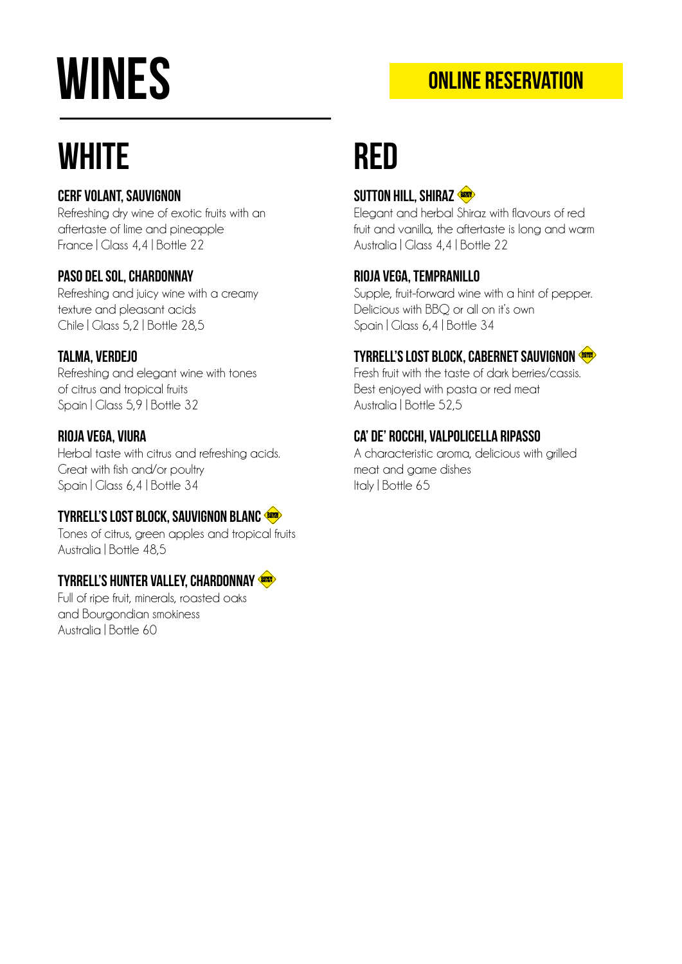# **WINES**

### online reservation

## **WHITE**

#### Cerf Volant, Sauvignon

Refreshing dry wine of exotic fruits with an aftertaste of lime and pineapple France | Glass 4,4 | Bottle 22

#### Paso del Sol, Chardonnay

Refreshing and juicy wine with a creamy texture and pleasant acids Chile | Glass 5,2 | Bottle 28,5

#### Talma, Verdejo

Refreshing and elegant wine with tones of citrus and tropical fruits Spain | Glass 5,9 | Bottle 32

#### Rioja Vega, Viura

Herbal taste with citrus and refreshing acids. Great with fish and/or poultry Spain | Glass 6,4 | Bottle 34

#### Tyrrell's Lost Block, Sauvignon Blanc

Tones of citrus, green apples and tropical fruits Australia | Bottle 48,5

#### Tyrrell's Hunter Valley, Chardonnay

Full of ripe fruit, minerals, roasted oaks and Bourgondian smokiness Australia | Bottle 60

## ReD

#### SUTTON HILL, SHIRAZ

Elegant and herbal Shiraz with flavours of red fruit and vanilla, the aftertaste is long and warm Australia | Glass 4,4 | Bottle 22

#### Rioja Vega, Tempranillo

Supple, fruit-forward wine with a hint of pepper. Delicious with BBQ or all on it's own Spain | Glass 6,4 | Bottle 34

#### Tyrrell's Lost Block, Cabernet Sauvignon

Fresh fruit with the taste of dark berries/cassis. Best enjoyed with pasta or red meat Australia | Bottle 52,5

#### Ca' de' Rocchi, Valpolicella Ripasso

A characteristic aroma, delicious with grilled meat and game dishes Italy | Bottle 65